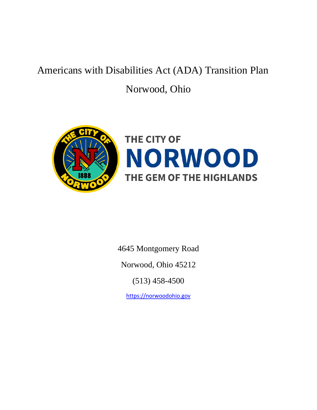# Americans with Disabilities Act (ADA) Transition Plan

# Norwood, Ohio



# **NORWOOD** THE GEM OF THE HIGHLANDS

4645 Montgomery Road

Norwood, Ohio 45212

(513) 458-4500

[https://norwoodohio.gov](https://norwoodohio.gov/)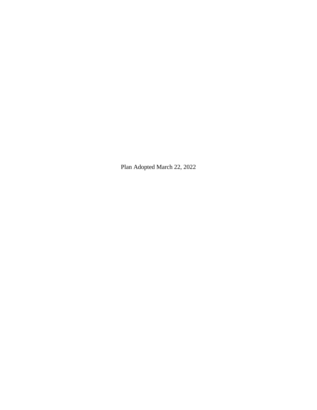Plan Adopted March 22, 2022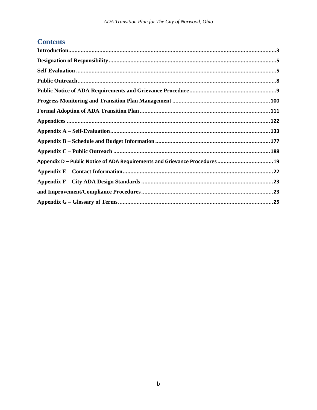# **Contents**

| Appendix D - Public Notice of ADA Requirements and Grievance Procedures19 |  |
|---------------------------------------------------------------------------|--|
|                                                                           |  |
|                                                                           |  |
|                                                                           |  |
|                                                                           |  |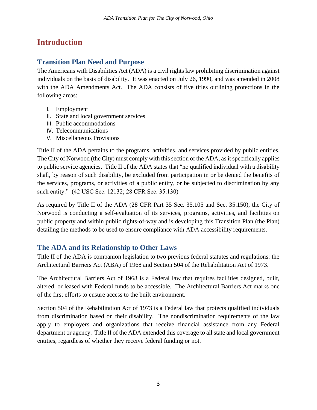# <span id="page-3-0"></span>**Introduction**

## **Transition Plan Need and Purpose**

The Americans with Disabilities Act (ADA) is a civil rights law prohibiting discrimination against individuals on the basis of disability. It was enacted on July 26, 1990, and was amended in 2008 with the ADA Amendments Act. The ADA consists of five titles outlining protections in the following areas:

- I. Employment
- II. State and local government services
- III. Public accommodations
- IV. Telecommunications
- V. Miscellaneous Provisions

Title II of the ADA pertains to the programs, activities, and services provided by public entities. The City of Norwood (the City) must comply with this section of the ADA, as it specifically applies to public service agencies. Title II of the ADA states that "no qualified individual with a disability shall, by reason of such disability, be excluded from participation in or be denied the benefits of the services, programs, or activities of a public entity, or be subjected to discrimination by any such entity." (42 USC Sec. 12132; 28 CFR Sec. 35.130)

As required by Title II of the ADA (28 CFR Part 35 Sec. 35.105 and Sec. 35.150), the City of Norwood is conducting a self-evaluation of its services, programs, activities, and facilities on public property and within public rights-of-way and is developing this Transition Plan (the Plan) detailing the methods to be used to ensure compliance with ADA accessibility requirements.

## **The ADA and its Relationship to Other Laws**

Title II of the ADA is companion legislation to two previous federal statutes and regulations: the Architectural Barriers Act (ABA) of 1968 and Section 504 of the Rehabilitation Act of 1973.

The Architectural Barriers Act of 1968 is a Federal law that requires facilities designed, built, altered, or leased with Federal funds to be accessible. The Architectural Barriers Act marks one of the first efforts to ensure access to the built environment.

Section 504 of the Rehabilitation Act of 1973 is a Federal law that protects qualified individuals from discrimination based on their disability. The nondiscrimination requirements of the law apply to employers and organizations that receive financial assistance from any Federal department or agency. Title II of the ADA extended this coverage to all state and local government entities, regardless of whether they receive federal funding or not.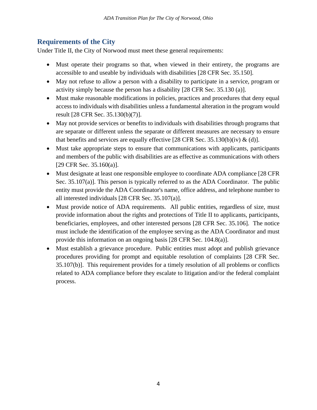## **Requirements of the City**

Under Title II, the City of Norwood must meet these general requirements:

- Must operate their programs so that, when viewed in their entirety, the programs are accessible to and useable by individuals with disabilities [28 CFR Sec. 35.150].
- May not refuse to allow a person with a disability to participate in a service, program or activity simply because the person has a disability [28 CFR Sec. 35.130 (a)].
- Must make reasonable modifications in policies, practices and procedures that deny equal access to individuals with disabilities unless a fundamental alteration in the program would result [28 CFR Sec. 35.130(b)(7)].
- May not provide services or benefits to individuals with disabilities through programs that are separate or different unless the separate or different measures are necessary to ensure that benefits and services are equally effective [28 CFR Sec. 35.130(b)(iv) & (d)].
- Must take appropriate steps to ensure that communications with applicants, participants and members of the public with disabilities are as effective as communications with others [29 CFR Sec. 35.160(a)].
- Must designate at least one responsible employee to coordinate ADA compliance [28 CFR] Sec. 35.107(a)]. This person is typically referred to as the ADA Coordinator. The public entity must provide the ADA Coordinator's name, office address, and telephone number to all interested individuals [28 CFR Sec. 35.107(a)].
- Must provide notice of ADA requirements. All public entities, regardless of size, must provide information about the rights and protections of Title II to applicants, participants, beneficiaries, employees, and other interested persons [28 CFR Sec. 35.106]. The notice must include the identification of the employee serving as the ADA Coordinator and must provide this information on an ongoing basis [28 CFR Sec. 104.8(a)].
- Must establish a grievance procedure. Public entities must adopt and publish grievance procedures providing for prompt and equitable resolution of complaints [28 CFR Sec. 35.107(b)]. This requirement provides for a timely resolution of all problems or conflicts related to ADA compliance before they escalate to litigation and/or the federal complaint process.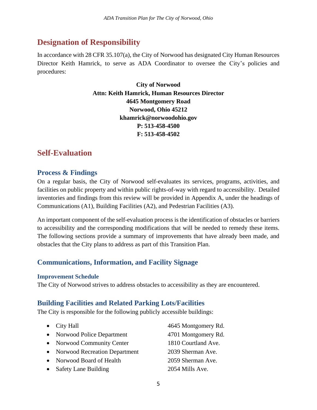# <span id="page-5-0"></span>**Designation of Responsibility**

In accordance with 28 CFR 35.107(a), the City of Norwood has designated City Human Resources Director Keith Hamrick, to serve as ADA Coordinator to oversee the City's policies and procedures:

> **City of Norwood Attn: Keith Hamrick, Human Resources Director 4645 Montgomery Road Norwood, Ohio 45212 khamrick@norwoodohio.gov P: 513-458-4500 F: 513-458-4502**

# <span id="page-5-1"></span>**Self-Evaluation**

## **Process & Findings**

On a regular basis, the City of Norwood self-evaluates its services, programs, activities, and facilities on public property and within public rights-of-way with regard to accessibility. Detailed inventories and findings from this review will be provided in Appendix A, under the headings of Communications (A1), Building Facilities (A2), and Pedestrian Facilities (A3).

An important component of the self-evaluation process is the identification of obstacles or barriers to accessibility and the corresponding modifications that will be needed to remedy these items. The following sections provide a summary of improvements that have already been made, and obstacles that the City plans to address as part of this Transition Plan.

## **Communications, Information, and Facility Signage**

#### **Improvement Schedule**

The City of Norwood strives to address obstacles to accessibility as they are encountered.

## **Building Facilities and Related Parking Lots/Facilities**

The City is responsible for the following publicly accessible buildings:

| $\bullet$ City Hall             | 4645 Montgomery Rd. |
|---------------------------------|---------------------|
| • Norwood Police Department     | 4701 Montgomery Rd. |
| • Norwood Community Center      | 1810 Courtland Ave. |
| • Norwood Recreation Department | 2039 Sherman Ave.   |
| • Norwood Board of Health       | 2059 Sherman Ave.   |
| • Safety Lane Building          | 2054 Mills Ave.     |
|                                 |                     |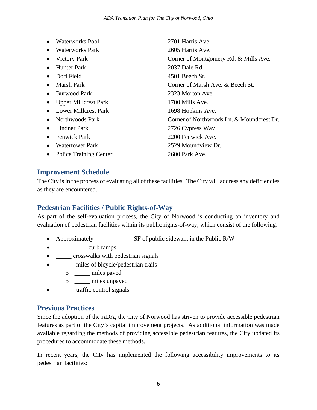|           | <b>Waterworks Pool</b>        | 2701 Harris Ave.                          |
|-----------|-------------------------------|-------------------------------------------|
|           | Waterworks Park               | 2605 Harris Ave.                          |
| $\bullet$ | <b>Victory Park</b>           | Corner of Montgomery Rd. & Mills Ave.     |
|           | <b>Hunter Park</b>            | 2037 Dale Rd.                             |
| $\bullet$ | Dorl Field                    | $4501$ Beech St.                          |
|           | Marsh Park                    | Corner of Marsh Ave. & Beech St.          |
|           | <b>Burwood Park</b>           | 2323 Morton Ave.                          |
|           | <b>Upper Millcrest Park</b>   | 1700 Mills Ave.                           |
| $\bullet$ | Lower Millcrest Park          | 1698 Hopkins Ave.                         |
| $\bullet$ | Northwoods Park               | Corner of Northwoods Ln. & Moundcrest Dr. |
|           | Lindner Park                  | 2726 Cypress Way                          |
| ٠         | <b>Fenwick Park</b>           | 2200 Fenwick Ave.                         |
| $\bullet$ | <b>Watertower Park</b>        | 2529 Moundview Dr.                        |
|           | <b>Police Training Center</b> | 2600 Park Ave.                            |
|           |                               |                                           |

## **Improvement Schedule**

The City is in the process of evaluating all of these facilities. The City will address any deficiencies as they are encountered.

## **Pedestrian Facilities / Public Rights-of-Way**

As part of the self-evaluation process, the City of Norwood is conducting an inventory and evaluation of pedestrian facilities within its public rights-of-way, which consist of the following:

- Approximately \_\_\_\_\_\_\_\_\_\_\_\_ SF of public sidewalk in the Public R/W
- \_\_\_\_\_\_\_\_\_\_\_\_ curb ramps
- \_\_\_\_\_\_ crosswalks with pedestrian signals
- \_\_\_\_\_\_\_ miles of bicycle/pedestrian trails
	- o \_\_\_\_\_ miles paved
	- o \_\_\_\_\_ miles unpaved
- **\_\_\_\_\_** traffic control signals

#### **Previous Practices**

Since the adoption of the ADA, the City of Norwood has striven to provide accessible pedestrian features as part of the City's capital improvement projects. As additional information was made available regarding the methods of providing accessible pedestrian features, the City updated its procedures to accommodate these methods.

In recent years, the City has implemented the following accessibility improvements to its pedestrian facilities: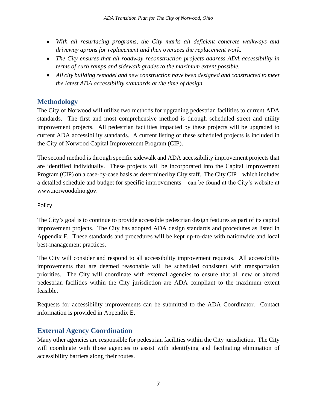- *With all resurfacing programs, the City marks all deficient concrete walkways and driveway aprons for replacement and then oversees the replacement work.*
- *The City ensures that all roadway reconstruction projects address ADA accessibility in terms of curb ramps and sidewalk grades to the maximum extent possible.*
- *All city building remodel and new construction have been designed and constructed to meet the latest ADA accessibility standards at the time of design.*

## **Methodology**

The City of Norwood will utilize two methods for upgrading pedestrian facilities to current ADA standards. The first and most comprehensive method is through scheduled street and utility improvement projects. All pedestrian facilities impacted by these projects will be upgraded to current ADA accessibility standards. A current listing of these scheduled projects is included in the City of Norwood Capital Improvement Program (CIP).

The second method is through specific sidewalk and ADA accessibility improvement projects that are identified individually. These projects will be incorporated into the Capital Improvement Program (CIP) on a case-by-case basis as determined by City staff. The City CIP – which includes a detailed schedule and budget for specific improvements – can be found at the City's website at www.norwoodohio.gov.

#### Policy

The City's goal is to continue to provide accessible pedestrian design features as part of its capital improvement projects. The City has adopted ADA design standards and procedures as listed in Appendix F. These standards and procedures will be kept up-to-date with nationwide and local best-management practices.

The City will consider and respond to all accessibility improvement requests. All accessibility improvements that are deemed reasonable will be scheduled consistent with transportation priorities. The City will coordinate with external agencies to ensure that all new or altered pedestrian facilities within the City jurisdiction are ADA compliant to the maximum extent feasible.

Requests for accessibility improvements can be submitted to the ADA Coordinator. Contact information is provided in Appendix E.

## **External Agency Coordination**

Many other agencies are responsible for pedestrian facilities within the City jurisdiction. The City will coordinate with those agencies to assist with identifying and facilitating elimination of accessibility barriers along their routes.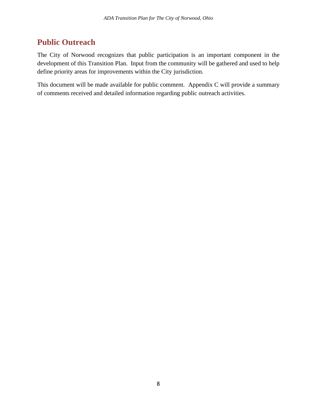# <span id="page-8-0"></span>**Public Outreach**

The City of Norwood recognizes that public participation is an important component in the development of this Transition Plan. Input from the community will be gathered and used to help define priority areas for improvements within the City jurisdiction.

This document will be made available for public comment. Appendix C will provide a summary of comments received and detailed information regarding public outreach activities.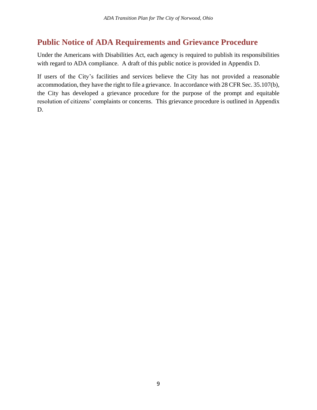# <span id="page-9-0"></span>**Public Notice of ADA Requirements and Grievance Procedure**

Under the Americans with Disabilities Act, each agency is required to publish its responsibilities with regard to ADA compliance. A draft of this public notice is provided in Appendix D.

If users of the City's facilities and services believe the City has not provided a reasonable accommodation, they have the right to file a grievance. In accordance with 28 CFR Sec. 35.107(b), the City has developed a grievance procedure for the purpose of the prompt and equitable resolution of citizens' complaints or concerns. This grievance procedure is outlined in Appendix D.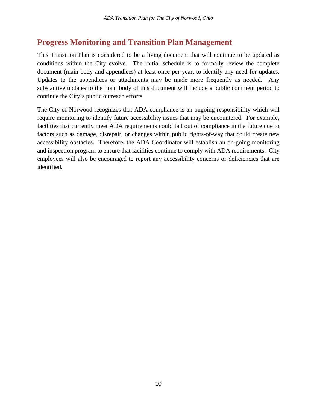# <span id="page-10-0"></span>**Progress Monitoring and Transition Plan Management**

This Transition Plan is considered to be a living document that will continue to be updated as conditions within the City evolve. The initial schedule is to formally review the complete document (main body and appendices) at least once per year, to identify any need for updates. Updates to the appendices or attachments may be made more frequently as needed. Any substantive updates to the main body of this document will include a public comment period to continue the City's public outreach efforts.

The City of Norwood recognizes that ADA compliance is an ongoing responsibility which will require monitoring to identify future accessibility issues that may be encountered. For example, facilities that currently meet ADA requirements could fall out of compliance in the future due to factors such as damage, disrepair, or changes within public rights-of-way that could create new accessibility obstacles. Therefore, the ADA Coordinator will establish an on-going monitoring and inspection program to ensure that facilities continue to comply with ADA requirements. City employees will also be encouraged to report any accessibility concerns or deficiencies that are identified.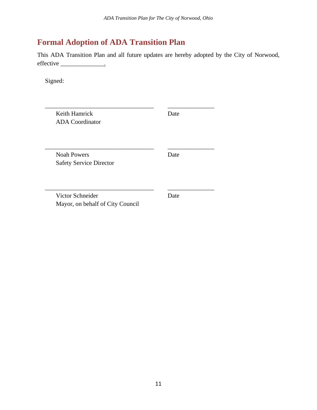# <span id="page-11-0"></span>**Formal Adoption of ADA Transition Plan**

This ADA Transition Plan and all future updates are hereby adopted by the City of Norwood, effective \_\_\_\_\_\_\_\_\_\_\_\_\_\_.

Signed:

| Keith Hamrick<br><b>ADA</b> Coordinator              | Date |
|------------------------------------------------------|------|
| <b>Noah Powers</b><br><b>Safety Service Director</b> | Date |
| Victor Schneider<br>Mayor, on behalf of City Council | Date |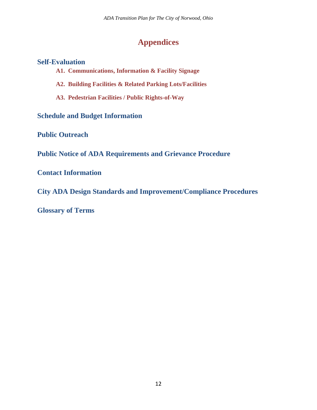# **Appendices**

## <span id="page-12-0"></span>**Self-Evaluation**

- **A1. Communications, Information & Facility Signage**
- **A2. Building Facilities & Related Parking Lots/Facilities**
- **A3. Pedestrian Facilities / Public Rights-of-Way**

**Schedule and Budget Information**

**Public Outreach**

**Public Notice of ADA Requirements and Grievance Procedure**

**Contact Information**

**City ADA Design Standards and Improvement/Compliance Procedures**

**Glossary of Terms**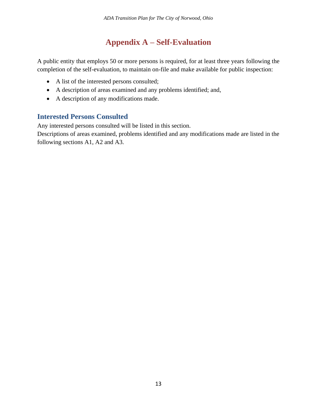# **Appendix A – Self-Evaluation**

<span id="page-13-0"></span>A public entity that employs 50 or more persons is required, for at least three years following the completion of the self-evaluation, to maintain on-file and make available for public inspection:

- A list of the interested persons consulted;
- A description of areas examined and any problems identified; and,
- A description of any modifications made.

## **Interested Persons Consulted**

Any interested persons consulted will be listed in this section.

Descriptions of areas examined, problems identified and any modifications made are listed in the following sections A1, A2 and A3.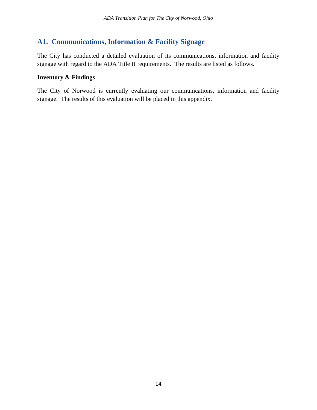## **A1. Communications, Information & Facility Signage**

The City has conducted a detailed evaluation of its communications, information and facility signage with regard to the ADA Title II requirements. The results are listed as follows.

#### **Inventory & Findings**

The City of Norwood is currently evaluating our communications, information and facility signage. The results of this evaluation will be placed in this appendix.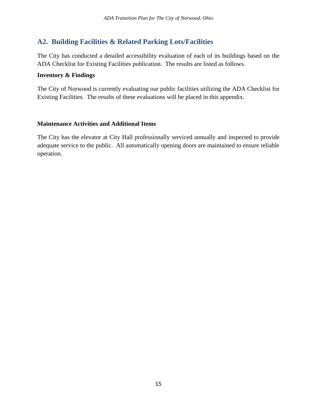## **A2. Building Facilities & Related Parking Lots/Facilities**

The City has conducted a detailed accessibility evaluation of each of its buildings based on the ADA Checklist for Existing Facilities publication. The results are listed as follows.

#### **Inventory & Findings**

The City of Norwood is currently evaluating our public facilities utilizing the ADA Checklist for Existing Facilities. The results of these evaluations will be placed in this appendix.

#### **Maintenance Activities and Additional Items**

The City has the elevator at City Hall professionally serviced annually and inspected to provide adequate service to the public. All automatically opening doors are maintained to ensure reliable operation.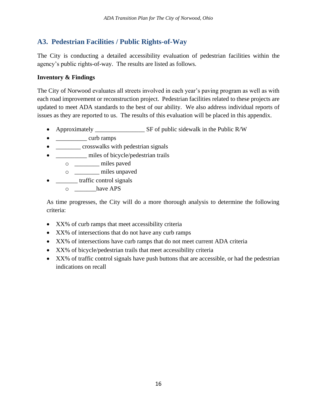## **A3. Pedestrian Facilities / Public Rights-of-Way**

The City is conducting a detailed accessibility evaluation of pedestrian facilities within the agency's public rights-of-way. The results are listed as follows.

#### **Inventory & Findings**

The City of Norwood evaluates all streets involved in each year's paving program as well as with each road improvement or reconstruction project. Pedestrian facilities related to these projects are updated to meet ADA standards to the best of our ability. We also address individual reports of issues as they are reported to us. The results of this evaluation will be placed in this appendix.

- Approximately SF of public sidewalk in the Public R/W
- \_\_\_\_\_\_\_\_\_\_\_\_ curb ramps
- **\_\_\_\_\_\_\_** crosswalks with pedestrian signals
- \_\_\_\_\_\_\_\_\_\_ miles of bicycle/pedestrian trails
	- o \_\_\_\_\_\_\_\_ miles paved
	- o \_\_\_\_\_\_\_\_ miles unpaved
- \_\_\_\_\_\_\_ traffic control signals
	- o \_\_\_\_\_\_\_have APS

As time progresses, the City will do a more thorough analysis to determine the following criteria:

- XX% of curb ramps that meet accessibility criteria
- XX% of intersections that do not have any curb ramps
- XX% of intersections have curb ramps that do not meet current ADA criteria
- XX% of bicycle/pedestrian trails that meet accessibility criteria
- XX% of traffic control signals have push buttons that are accessible, or had the pedestrian indications on recall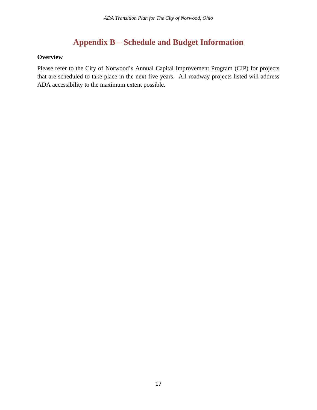# **Appendix B – Schedule and Budget Information**

#### <span id="page-17-0"></span>**Overview**

Please refer to the City of Norwood's Annual Capital Improvement Program (CIP) for projects that are scheduled to take place in the next five years. All roadway projects listed will address ADA accessibility to the maximum extent possible.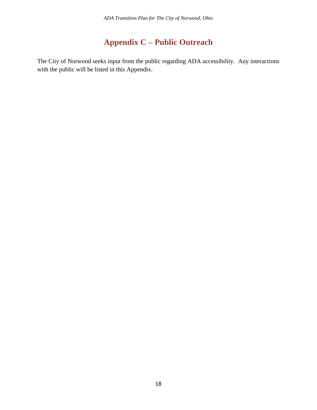# **Appendix C – Public Outreach**

<span id="page-18-0"></span>The City of Norwood seeks input from the public regarding ADA accessibility. Any interactions with the public will be listed in this Appendix.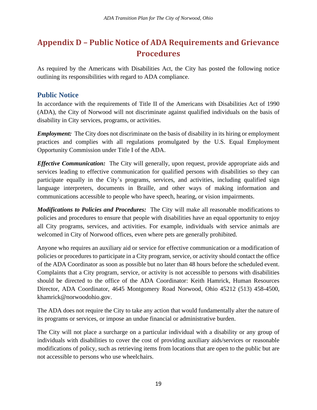# <span id="page-19-0"></span>**Appendix D – Public Notice of ADA Requirements and Grievance Procedures**

As required by the Americans with Disabilities Act, the City has posted the following notice outlining its responsibilities with regard to ADA compliance.

## **Public Notice**

In accordance with the requirements of Title II of the Americans with Disabilities Act of 1990 (ADA), the City of Norwood will not discriminate against qualified individuals on the basis of disability in City services, programs, or activities.

*Employment:* The City does not discriminate on the basis of disability in its hiring or employment practices and complies with all regulations promulgated by the U.S. Equal Employment Opportunity Commission under Title I of the ADA.

*Effective Communication:* The City will generally, upon request, provide appropriate aids and services leading to effective communication for qualified persons with disabilities so they can participate equally in the City's programs, services, and activities, including qualified sign language interpreters, documents in Braille, and other ways of making information and communications accessible to people who have speech, hearing, or vision impairments.

*Modifications to Policies and Procedures:* The City will make all reasonable modifications to policies and procedures to ensure that people with disabilities have an equal opportunity to enjoy all City programs, services, and activities. For example, individuals with service animals are welcomed in City of Norwood offices, even where pets are generally prohibited.

Anyone who requires an auxiliary aid or service for effective communication or a modification of policies or procedures to participate in a City program, service, or activity should contact the office of the ADA Coordinator as soon as possible but no later than 48 hours before the scheduled event. Complaints that a City program, service, or activity is not accessible to persons with disabilities should be directed to the office of the ADA Coordinator: Keith Hamrick, Human Resources Director, ADA Coordinator, 4645 Montgomery Road Norwood, Ohio 45212 (513) 458-4500, khamrick@norwoodohio.gov.

The ADA does not require the City to take any action that would fundamentally alter the nature of its programs or services, or impose an undue financial or administrative burden.

The City will not place a surcharge on a particular individual with a disability or any group of individuals with disabilities to cover the cost of providing auxiliary aids/services or reasonable modifications of policy, such as retrieving items from locations that are open to the public but are not accessible to persons who use wheelchairs.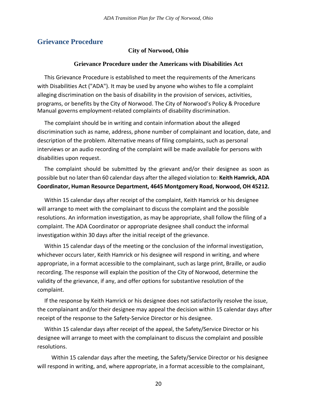#### **Grievance Procedure**

#### **City of Norwood, Ohio**

#### **Grievance Procedure under the Americans with Disabilities Act**

This Grievance Procedure is established to meet the requirements of the Americans with Disabilities Act ("ADA"). It may be used by anyone who wishes to file a complaint alleging discrimination on the basis of disability in the provision of services, activities, programs, or benefits by the City of Norwood. The City of Norwood's Policy & Procedure Manual governs employment-related complaints of disability discrimination.

The complaint should be in writing and contain information about the alleged discrimination such as name, address, phone number of complainant and location, date, and description of the problem. Alternative means of filing complaints, such as personal interviews or an audio recording of the complaint will be made available for persons with disabilities upon request.

The complaint should be submitted by the grievant and/or their designee as soon as possible but no later than 60 calendar days after the alleged violation to: **Keith Hamrick, ADA Coordinator, Human Resource Department, 4645 Montgomery Road, Norwood, OH 45212.**

Within 15 calendar days after receipt of the complaint, Keith Hamrick or his designee will arrange to meet with the complainant to discuss the complaint and the possible resolutions. An information investigation, as may be appropriate, shall follow the filing of a complaint. The ADA Coordinator or appropriate designee shall conduct the informal investigation within 30 days after the initial receipt of the grievance.

Within 15 calendar days of the meeting or the conclusion of the informal investigation, whichever occurs later, Keith Hamrick or his designee will respond in writing, and where appropriate, in a format accessible to the complainant, such as large print, Braille, or audio recording. The response will explain the position of the City of Norwood, determine the validity of the grievance, if any, and offer options for substantive resolution of the complaint.

If the response by Keith Hamrick or his designee does not satisfactorily resolve the issue, the complainant and/or their designee may appeal the decision within 15 calendar days after receipt of the response to the Safety-Service Director or his designee.

Within 15 calendar days after receipt of the appeal, the Safety/Service Director or his designee will arrange to meet with the complainant to discuss the complaint and possible resolutions.

 Within 15 calendar days after the meeting, the Safety/Service Director or his designee will respond in writing, and, where appropriate, in a format accessible to the complainant,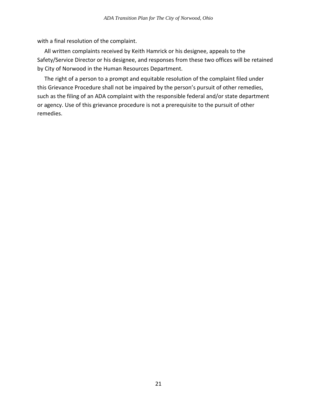with a final resolution of the complaint.

All written complaints received by Keith Hamrick or his designee, appeals to the Safety/Service Director or his designee, and responses from these two offices will be retained by City of Norwood in the Human Resources Department.

<span id="page-21-0"></span>The right of a person to a prompt and equitable resolution of the complaint filed under this Grievance Procedure shall not be impaired by the person's pursuit of other remedies, such as the filing of an ADA complaint with the responsible federal and/or state department or agency. Use of this grievance procedure is not a prerequisite to the pursuit of other remedies.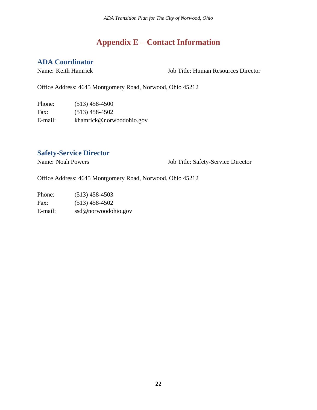# **Appendix E – Contact Information**

## **ADA Coordinator**

Name: Keith Hamrick Job Title: Human Resources Director

Office Address: 4645 Montgomery Road, Norwood, Ohio 45212

Phone: (513) 458-4500 Fax: (513) 458-4502 E-mail: khamrick@norwoodohio.gov

## **Safety-Service Director**

Name: Noah Powers Job Title: Safety-Service Director

Office Address: 4645 Montgomery Road, Norwood, Ohio 45212

Phone: (513) 458-4503 Fax: (513) 458-4502 E-mail: ssd@norwoodohio.gov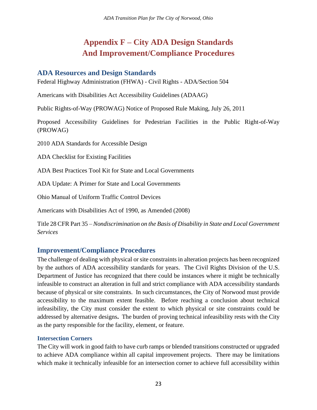# **Appendix F – City ADA Design Standards And Improvement/Compliance Procedures**

## <span id="page-23-1"></span><span id="page-23-0"></span>**ADA Resources and Design Standards**

Federal Highway Administration (FHWA) - Civil Rights - ADA/Section 504

Americans with Disabilities Act Accessibility Guidelines (ADAAG)

Public Rights-of-Way (PROWAG) Notice of Proposed Rule Making, July 26, 2011

Proposed Accessibility Guidelines for Pedestrian Facilities in the Public Right-of-Way (PROWAG)

2010 ADA Standards for Accessible Design

ADA Checklist for Existing Facilities

ADA Best Practices Tool Kit for State and Local Governments

ADA Update: A Primer for State and Local Governments

Ohio Manual of Uniform Traffic Control Devices

Americans with Disabilities Act of 1990, as Amended (2008)

Title 28 CFR Part 35 – *Nondiscrimination on the Basis of Disability in State and Local Government Services*

#### **Improvement/Compliance Procedures**

The challenge of dealing with physical or site constraints in alteration projects has been recognized by the authors of ADA accessibility standards for years. The Civil Rights Division of the U.S. Department of Justice has recognized that there could be instances where it might be technically infeasible to construct an alteration in full and strict compliance with ADA accessibility standards because of physical or site constraints. In such circumstances, the City of Norwood must provide accessibility to the maximum extent feasible. Before reaching a conclusion about technical infeasibility, the City must consider the extent to which physical or site constraints could be addressed by alternative designs**.** The burden of proving technical infeasibility rests with the City as the party responsible for the facility, element, or feature.

#### **Intersection Corners**

The City will work in good faith to have curb ramps or blended transitions constructed or upgraded to achieve ADA compliance within all capital improvement projects. There may be limitations which make it technically infeasible for an intersection corner to achieve full accessibility within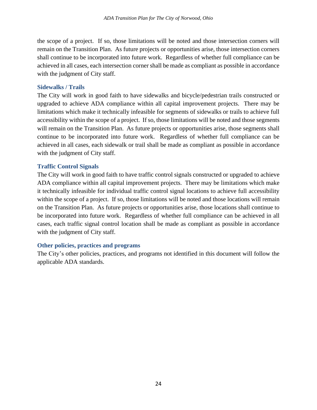the scope of a project. If so, those limitations will be noted and those intersection corners will remain on the Transition Plan. As future projects or opportunities arise, those intersection corners shall continue to be incorporated into future work. Regardless of whether full compliance can be achieved in all cases, each intersection corner shall be made as compliant as possible in accordance with the judgment of City staff.

#### **Sidewalks / Trails**

The City will work in good faith to have sidewalks and bicycle/pedestrian trails constructed or upgraded to achieve ADA compliance within all capital improvement projects. There may be limitations which make it technically infeasible for segments of sidewalks or trails to achieve full accessibility within the scope of a project. If so, those limitations will be noted and those segments will remain on the Transition Plan. As future projects or opportunities arise, those segments shall continue to be incorporated into future work. Regardless of whether full compliance can be achieved in all cases, each sidewalk or trail shall be made as compliant as possible in accordance with the judgment of City staff.

#### **Traffic Control Signals**

The City will work in good faith to have traffic control signals constructed or upgraded to achieve ADA compliance within all capital improvement projects. There may be limitations which make it technically infeasible for individual traffic control signal locations to achieve full accessibility within the scope of a project. If so, those limitations will be noted and those locations will remain on the Transition Plan. As future projects or opportunities arise, those locations shall continue to be incorporated into future work. Regardless of whether full compliance can be achieved in all cases, each traffic signal control location shall be made as compliant as possible in accordance with the judgment of City staff.

#### **Other policies, practices and programs**

The City's other policies, practices, and programs not identified in this document will follow the applicable ADA standards.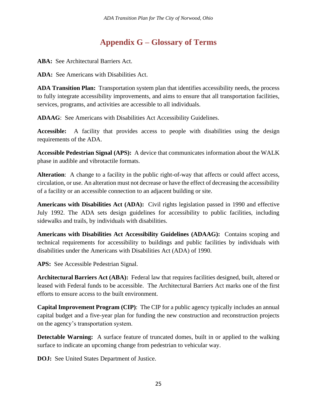# **Appendix G – Glossary of Terms**

<span id="page-25-0"></span>**ABA:** See Architectural Barriers Act.

**ADA:** See Americans with Disabilities Act.

**ADA Transition Plan:** Transportation system plan that identifies accessibility needs, the process to fully integrate accessibility improvements, and aims to ensure that all transportation facilities, services, programs, and activities are accessible to all individuals.

**ADAAG**: See Americans with Disabilities Act Accessibility Guidelines.

**Accessible:** A facility that provides access to people with disabilities using the design requirements of the ADA.

**Accessible Pedestrian Signal (APS):** A device that communicates information about the WALK phase in audible and vibrotactile formats.

Alteration: A change to a facility in the public right-of-way that affects or could affect access, circulation, or use. An alteration must not decrease or have the effect of decreasing the accessibility of a facility or an accessible connection to an adjacent building or site.

**Americans with Disabilities Act (ADA):** Civil rights legislation passed in 1990 and effective July 1992. The ADA sets design guidelines for accessibility to public facilities, including sidewalks and trails, by individuals with disabilities.

**Americans with Disabilities Act Accessibility Guidelines (ADAAG):** Contains scoping and technical requirements for accessibility to buildings and public facilities by individuals with disabilities under the Americans with Disabilities Act (ADA) of 1990.

**APS:** See Accessible Pedestrian Signal.

**Architectural Barriers Act (ABA):** Federal law that requires facilities designed, built, altered or leased with Federal funds to be accessible. The Architectural Barriers Act marks one of the first efforts to ensure access to the built environment.

**Capital Improvement Program (CIP)**: The CIP for a public agency typically includes an annual capital budget and a five-year plan for funding the new construction and reconstruction projects on the agency's transportation system.

**Detectable Warning:** A surface feature of truncated domes, built in or applied to the walking surface to indicate an upcoming change from pedestrian to vehicular way.

**DOJ:** See United States Department of Justice.